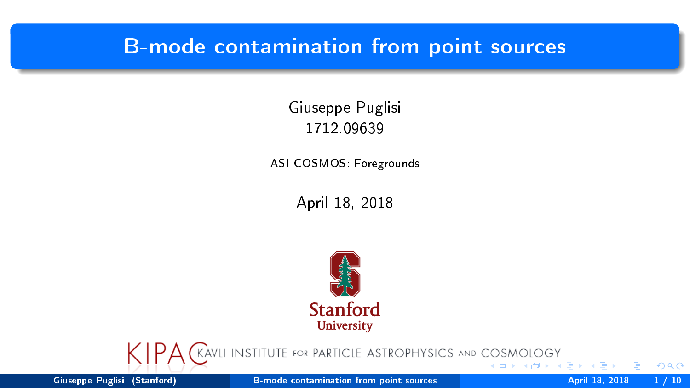## <span id="page-0-0"></span>B-mode contamination from point sources

Giuseppe Puglisi 1712.09639

ASI COSMOS: Foregrounds

April 18, 2018





Giuseppe Puglisi (Stanford) [B-mode contamination from point sources](#page-9-0) April 18, 2018 1/10

 $2Q$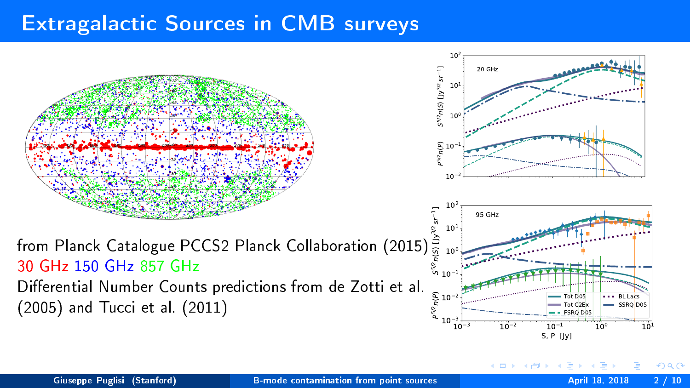## <span id="page-1-0"></span>Extragalactic Sources in CMB surveys



 $Q($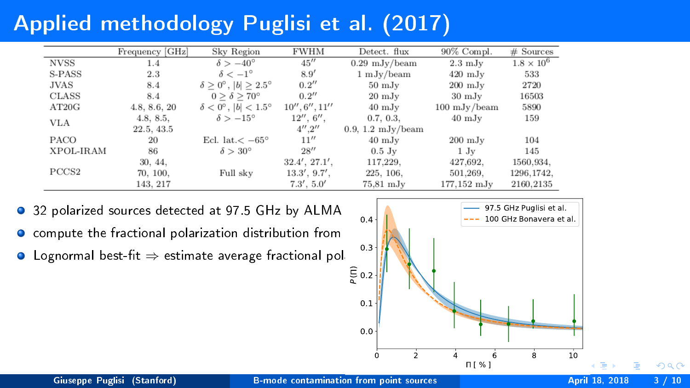## <span id="page-2-0"></span>Applied methodology Puglisi et al. (2017)

|                   | Frequency [GHz] | Sky Region                                       | <b>FWHM</b>     | Detect. flux                | $90\%$ Compl.          | $#$ Sources       |
|-------------------|-----------------|--------------------------------------------------|-----------------|-----------------------------|------------------------|-------------------|
| <b>NVSS</b>       | 1.4             | $\delta > -40^{\circ}$                           | 45''            | $0.29 \text{ mJy/beam}$     | $2.3 \text{ mJy}$      | $1.8 \times 10^6$ |
| S-PASS            | 2.3             | $\delta < -1^{\circ}$                            | 8.9'            | $1 \text{ mJy/beam}$        | $420 \text{ mJy}$      | 533               |
| JVAS              | 8.4             | $\delta \geq 0^{\circ}$ , $ b  \geq 2.5^{\circ}$ | 0.2''           | $50 \text{ mJy}$            | $200 \text{ mJy}$      | 2720              |
| <b>CLASS</b>      | 8.4             | $0 \geq \delta \geq 70^{\circ}$                  | 0.2''           | $20 \mathrm{mJy}$           | $30 \text{ mJy}$       | 16503             |
| AT20G             | 4.8, 8.6, 20    | $\delta < 0^\circ$ , $ b  < 1.5^\circ$           | 10'', 6'', 11'' | $40 \text{ mJy}$            | $100 \text{ mJy/beam}$ | 5890              |
| <b>VLA</b>        | 4.8, 8.5,       | $\delta > -15^{\circ}$                           | 12'', 6'',      | 0.7, 0.3,                   | $40 \text{ mJy}$       | 159               |
|                   | 22.5, 43.5      |                                                  | 4''.2''         | $0.9, 1.2 \text{ mJy/beam}$ |                        |                   |
| <b>PACO</b>       | 20              | Ecl. lat. $<-65^{\circ}$                         | 11''            | $40 \text{ mJy}$            | $200 \text{ mJy}$      | 104               |
| XPOL-IRAM         | 86              | $\delta > 30^{\circ}$                            | 28''            | $0.5$ Jy                    | $1 \mathrm{Jy}$        | 145               |
|                   | 30, 44,         |                                                  | 32.4', 27.1',   | 117.229.                    | 427,692,               | 1560.934.         |
| PCCS <sub>2</sub> | 70, 100,        | Full sky                                         | 13.3', 9.7',    | 225, 106,                   | 501.269.               | 1296.1742.        |
|                   | 143.217         |                                                  | 7.3', 5.0'      | $75.81$ mJ $v$              | $177.152 \; \rm{mJy}$  | 2160.2135         |

- $\bullet$ 32 polarized sources detected at 97.5 GHz by ALMA
- $\bullet$ compute the fractional polarization distribution from
- $\bullet$  Lognormal best-fit  $\Rightarrow$  estimate average fractional pol



 $2990$ 

÷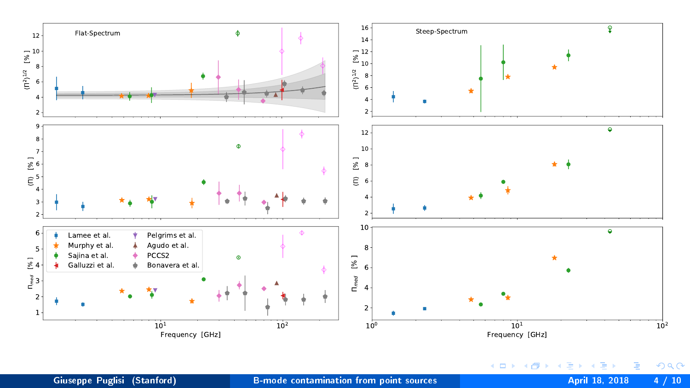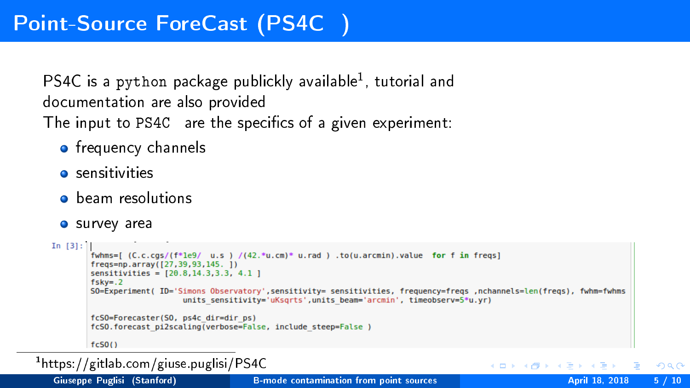PS4C is a python package publickly available<sup>1</sup>, tutorial and documentation are also provided The input to PS4C are the specifics of a given experiment:

- **o** frequency channels
- **o** sensitivities
- **o** beam resolutions
- **o** survey area

```
In [3]: \vert<br>fwhms=[ (C.c.cgs/(f*1e9/ u.s ) /(42.*u.cm)* u.rad ) .to(u.arcmin).value for f in freqs]
freqs=np.array([27,39,93,145. 1)
sensitivities = [20.8, 14.3, 3.3, 4.1]fskv=.2SO=Experiment( ID='Simons Observatory',sensitivity= sensitivities, frequency=freqs, nchannels=len(freqs), fwhm=fwhms
                    units sensitivity='uKsarts'.units beam='arcmin'. timeobserv=5*u.vr)
fcSO=Forecaster(SO, ps4c dir=dir ps)
fcSO.forecast pi2scaling(verbose=False, include steep=False)
fc50()
```
1 https://gitlab.com/giuse.puglisi/PS4C

 $2990$ 

**NATIONAL**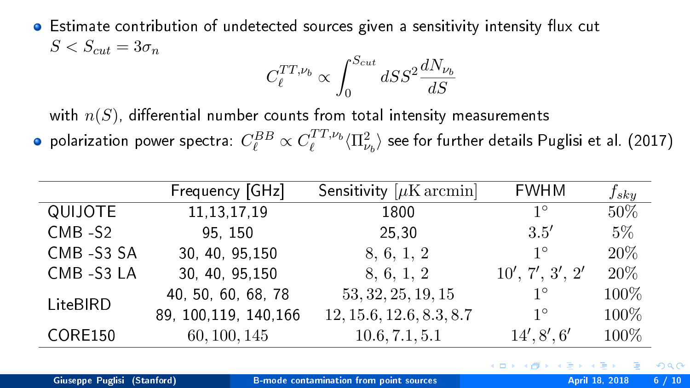• Estimate contribution of undetected sources given a sensitivity intensity flux cut  $S < S_{cut} = 3\sigma_n$ 

$$
C_{\ell}^{TT,\nu_b} \propto \int_0^{S_{cut}} dS S^2 \frac{dN_{\nu_b}}{dS}
$$

with  $n(S)$ , differential number counts from total intensity measurements

polarization power spectra:  $C_\ell^{BB} \propto C_\ell^{TT,\nu_b}\langle \Pi_{\nu_b}^2\rangle$  see for further details Puglisi et al. (2017)

|                | Frequency [GHz]        | Sensitivity $[\mu$ K arcmin | <b>FWHM</b>     | $f_{sky}$ |
|----------------|------------------------|-----------------------------|-----------------|-----------|
| QUIJOTE        | 11, 13, 17, 19         | 1800                        | $1^{\circ}$     | 50%       |
| $CMB - S2$     | 95 150                 | 25.30                       | 3.5'            | $5\%$     |
| CMB-S3 SA      | 30, 40, 95, 150        | 8, 6, 1, 2                  | $1^{\circ}$     | 20%       |
| CMB -S3 LA     | 30, 40, 95, 150        | 8, 6, 1, 2                  | 10', 7', 3', 2' | 20%       |
| LiteBIRD       | 40, 50, 60, 68, 78     | 53, 32, 25, 19, 15          | $1^{\circ}$     | 100%      |
|                | 89, 100, 119, 140, 166 | 12, 15.6, 12.6, 8.3, 8.7    | $1^{\circ}$     | 100%      |
| <b>CORE150</b> | 60, 100, 145           | 10.6, 7.1, 5.1              | 14', 8', 6'     | 100%      |

 $200$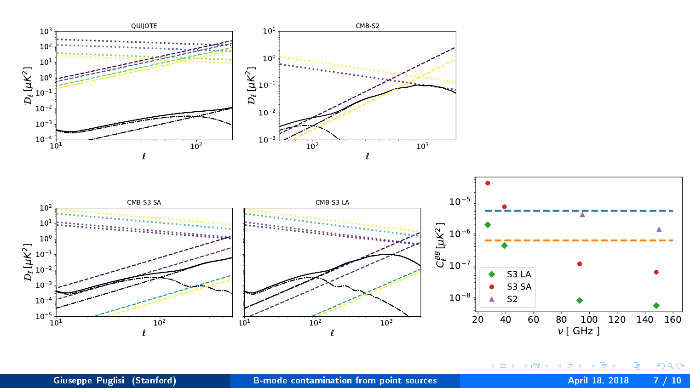



Giuseppe Puglisi (Stanford) [B-mode contamination from point sources](#page-0-0) April 18, 2018 7 / 10

∍

э

ロ  $\rightarrow$   $\rightarrow$   $\rightarrow$   $\rightarrow$   $\rightarrow$   $\rightarrow$   $\rightarrow$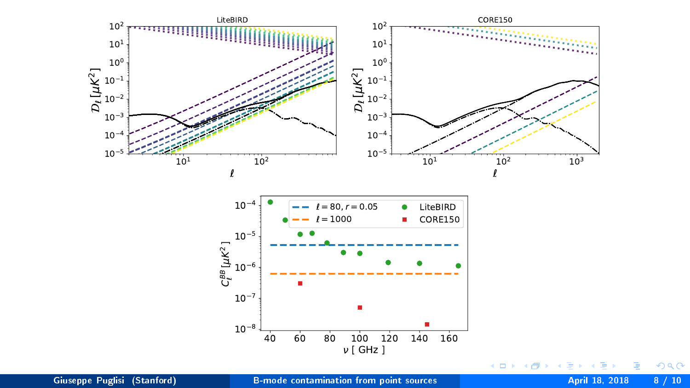



准

イロメ イ部メ イモメ イモメ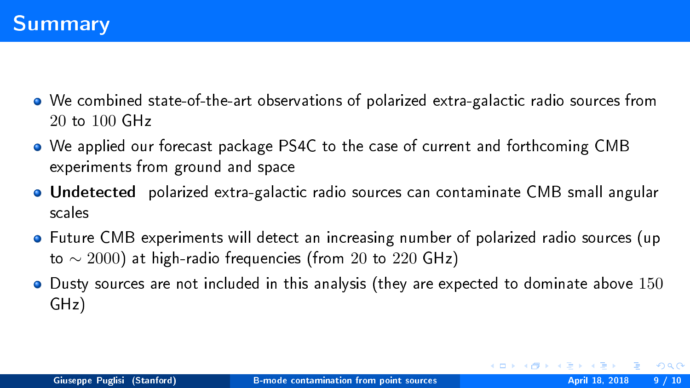- We combined state-of-the-art observations of polarized extra-galactic radio sources from 20 to 100 GHz
- We applied our forecast package PS4C to the case of current and forthcoming CMB experiments from ground and space
- Undetected polarized extra-galactic radio sources can contaminate CMB small angular scales
- Future CMB experiments will detect an increasing number of polarized radio sources (up to  $\sim$  2000) at high-radio frequencies (from 20 to 220 GHz)
- **•** Dusty sources are not included in this analysis (they are expected to dominate above 150 GHz)

 $2990$